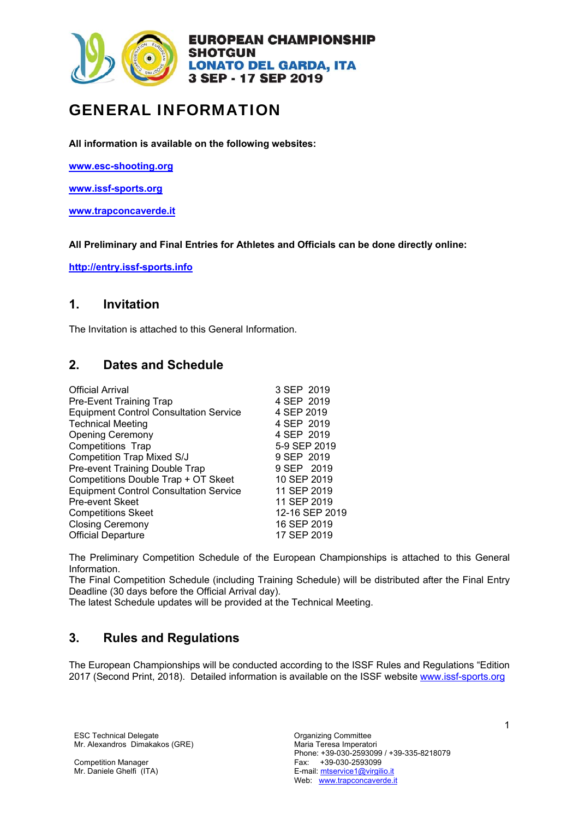

# GENERAL INFORMATION

**All information is available on the following websites:** 

**www.esc-shooting.org** 

**www.issf-sports.org** 

**www.trapconcaverde.it**

**All Preliminary and Final Entries for Athletes and Officials can be done directly online:** 

**http://entry.issf-sports.info**

# **1. Invitation**

The Invitation is attached to this General Information.

# **2. Dates and Schedule**

| <b>Official Arrival</b>                       | 3 SEP 2019     |
|-----------------------------------------------|----------------|
| <b>Pre-Event Training Trap</b>                | 4 SEP 2019     |
| <b>Equipment Control Consultation Service</b> | 4 SEP 2019     |
| <b>Technical Meeting</b>                      | 4 SEP 2019     |
| <b>Opening Ceremony</b>                       | 4 SEP 2019     |
| <b>Competitions Trap</b>                      | 5-9 SEP 2019   |
| <b>Competition Trap Mixed S/J</b>             | 9 SEP 2019     |
| Pre-event Training Double Trap                | 9 SEP 2019     |
| Competitions Double Trap + OT Skeet           | 10 SEP 2019    |
| <b>Equipment Control Consultation Service</b> | 11 SEP 2019    |
| Pre-event Skeet                               | 11 SEP 2019    |
| <b>Competitions Skeet</b>                     | 12-16 SEP 2019 |
| <b>Closing Ceremony</b>                       | 16 SEP 2019    |
| <b>Official Departure</b>                     | 17 SEP 2019    |

The Preliminary Competition Schedule of the European Championships is attached to this General Information.

The Final Competition Schedule (including Training Schedule) will be distributed after the Final Entry Deadline (30 days before the Official Arrival day).

The latest Schedule updates will be provided at the Technical Meeting.

# **3. Rules and Regulations**

The European Championships will be conducted according to the ISSF Rules and Regulations "Edition 2017 (Second Print, 2018). Detailed information is available on the ISSF website www.issf-sports.org

ESC Technical Delegate **Committee** Committee Mr. Alexandros Dimakakos (GRE)

Competition Manager Mr. Daniele Ghelfi (ITA)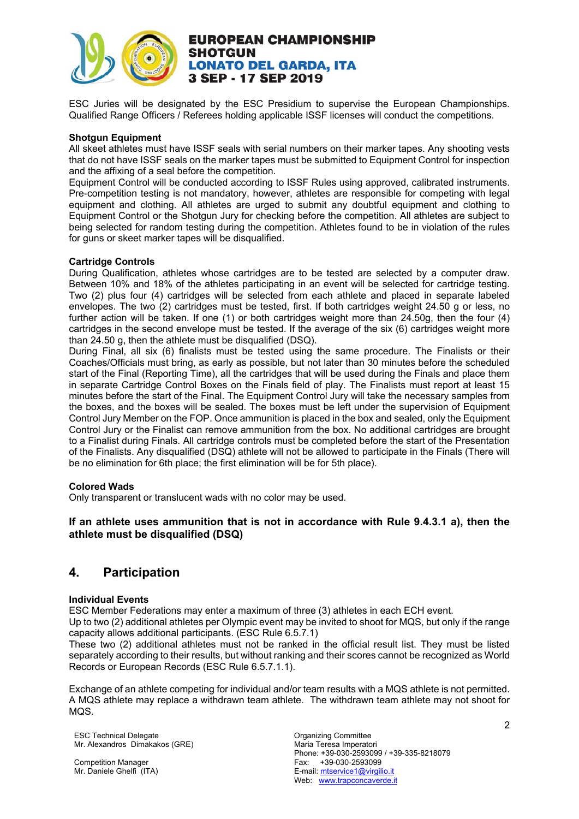

ESC Juries will be designated by the ESC Presidium to supervise the European Championships. Qualified Range Officers / Referees holding applicable ISSF licenses will conduct the competitions.

#### **Shotgun Equipment**

All skeet athletes must have ISSF seals with serial numbers on their marker tapes. Any shooting vests that do not have ISSF seals on the marker tapes must be submitted to Equipment Control for inspection and the affixing of a seal before the competition.

Equipment Control will be conducted according to ISSF Rules using approved, calibrated instruments. Pre-competition testing is not mandatory, however, athletes are responsible for competing with legal equipment and clothing. All athletes are urged to submit any doubtful equipment and clothing to Equipment Control or the Shotgun Jury for checking before the competition. All athletes are subject to being selected for random testing during the competition. Athletes found to be in violation of the rules for guns or skeet marker tapes will be disqualified.

#### **Cartridge Controls**

During Qualification, athletes whose cartridges are to be tested are selected by a computer draw. Between 10% and 18% of the athletes participating in an event will be selected for cartridge testing. Two (2) plus four (4) cartridges will be selected from each athlete and placed in separate labeled envelopes. The two (2) cartridges must be tested, first. If both cartridges weight 24.50 g or less, no further action will be taken. If one (1) or both cartridges weight more than 24.50g, then the four (4) cartridges in the second envelope must be tested. If the average of the six (6) cartridges weight more than 24.50 g, then the athlete must be disqualified (DSQ).

During Final, all six (6) finalists must be tested using the same procedure. The Finalists or their Coaches/Officials must bring, as early as possible, but not later than 30 minutes before the scheduled start of the Final (Reporting Time), all the cartridges that will be used during the Finals and place them in separate Cartridge Control Boxes on the Finals field of play. The Finalists must report at least 15 minutes before the start of the Final. The Equipment Control Jury will take the necessary samples from the boxes, and the boxes will be sealed. The boxes must be left under the supervision of Equipment Control Jury Member on the FOP. Once ammunition is placed in the box and sealed, only the Equipment Control Jury or the Finalist can remove ammunition from the box. No additional cartridges are brought to a Finalist during Finals. All cartridge controls must be completed before the start of the Presentation of the Finalists. Any disqualified (DSQ) athlete will not be allowed to participate in the Finals (There will be no elimination for 6th place; the first elimination will be for 5th place).

#### **Colored Wads**

Only transparent or translucent wads with no color may be used.

#### **If an athlete uses ammunition that is not in accordance with Rule 9.4.3.1 a), then the athlete must be disqualified (DSQ)**

# **4. Participation**

#### **Individual Events**

ESC Member Federations may enter a maximum of three (3) athletes in each ECH event.

Up to two (2) additional athletes per Olympic event may be invited to shoot for MQS, but only if the range capacity allows additional participants. (ESC Rule 6.5.7.1)

These two (2) additional athletes must not be ranked in the official result list. They must be listed separately according to their results, but without ranking and their scores cannot be recognized as World Records or European Records (ESC Rule 6.5.7.1.1).

Exchange of an athlete competing for individual and/or team results with a MQS athlete is not permitted. A MQS athlete may replace a withdrawn team athlete. The withdrawn team athlete may not shoot for MQS.

ESC Technical Delegate **Committee** Committee Mr. Alexandros Dimakakos (GRE)

Competition Manager Mr. Daniele Ghelfi (ITA)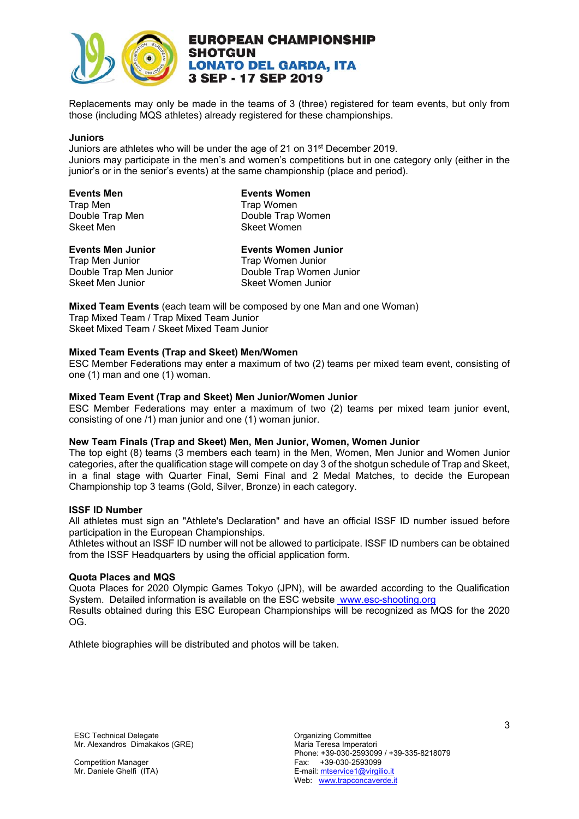

Replacements may only be made in the teams of 3 (three) registered for team events, but only from those (including MQS athletes) already registered for these championships.

#### **Juniors**

Juniors are athletes who will be under the age of 21 on 31st December 2019. Juniors may participate in the men's and women's competitions but in one category only (either in the junior's or in the senior's events) at the same championship (place and period).

| <b>Events Men</b> |
|-------------------|
| <b>Trap Men</b>   |
| Double Trap Men   |
| <b>Skeet Men</b>  |

**Events Women Trap Women** Double Trap Women Skeet Women

Trap Men Junior<br>
Double Trap Men Junior<br>
Double Trap Womer Skeet Men Junior Skeet Women Junior

**Events Men Junior Figure 2018** Events Women Junior Trap Men Junior Trap Women Junior Double Trap Women Junior

**Mixed Team Events** (each team will be composed by one Man and one Woman) Trap Mixed Team / Trap Mixed Team Junior Skeet Mixed Team / Skeet Mixed Team Junior

#### **Mixed Team Events (Trap and Skeet) Men/Women**

ESC Member Federations may enter a maximum of two (2) teams per mixed team event, consisting of one (1) man and one (1) woman.

#### **Mixed Team Event (Trap and Skeet) Men Junior/Women Junior**

ESC Member Federations may enter a maximum of two (2) teams per mixed team junior event, consisting of one /1) man junior and one (1) woman junior.

#### **New Team Finals (Trap and Skeet) Men, Men Junior, Women, Women Junior**

The top eight (8) teams (3 members each team) in the Men, Women, Men Junior and Women Junior categories, after the qualification stage will compete on day 3 of the shotgun schedule of Trap and Skeet, in a final stage with Quarter Final, Semi Final and 2 Medal Matches, to decide the European Championship top 3 teams (Gold, Silver, Bronze) in each category.

#### **ISSF ID Number**

All athletes must sign an "Athlete's Declaration" and have an official ISSF ID number issued before participation in the European Championships.

Athletes without an ISSF ID number will not be allowed to participate. ISSF ID numbers can be obtained from the ISSF Headquarters by using the official application form.

#### **Quota Places and MQS**

Quota Places for 2020 Olympic Games Tokyo (JPN), will be awarded according to the Qualification System. Detailed information is available on the ESC website www.esc-shooting.org Results obtained during this ESC European Championships will be recognized as MQS for the 2020 OG.

Athlete biographies will be distributed and photos will be taken.

ESC Technical Delegate **Committee** Committee Mr. Alexandros Dimakakos (GRE)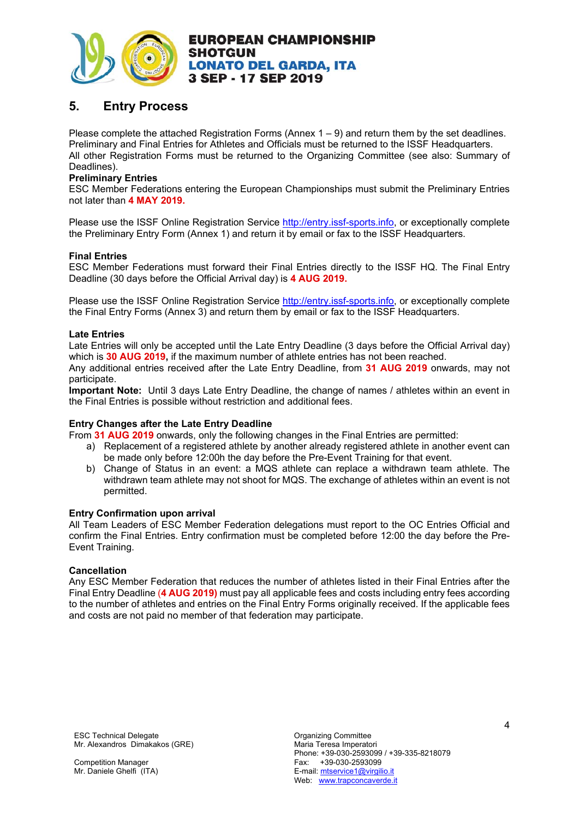

# **5. Entry Process**

Please complete the attached Registration Forms (Annex  $1 - 9$ ) and return them by the set deadlines. Preliminary and Final Entries for Athletes and Officials must be returned to the ISSF Headquarters. All other Registration Forms must be returned to the Organizing Committee (see also: Summary of Deadlines).

#### **Preliminary Entries**

ESC Member Federations entering the European Championships must submit the Preliminary Entries not later than **4 MAY 2019.**

Please use the ISSF Online Registration Service http://entry.issf-sports.info, or exceptionally complete the Preliminary Entry Form (Annex 1) and return it by email or fax to the ISSF Headquarters.

#### **Final Entries**

ESC Member Federations must forward their Final Entries directly to the ISSF HQ. The Final Entry Deadline (30 days before the Official Arrival day) is **4 AUG 2019.**

Please use the ISSF Online Registration Service http://entry.issf-sports.info, or exceptionally complete the Final Entry Forms (Annex 3) and return them by email or fax to the ISSF Headquarters.

#### **Late Entries**

Late Entries will only be accepted until the Late Entry Deadline (3 days before the Official Arrival day) which is **30 AUG 2019,** if the maximum number of athlete entries has not been reached.

Any additional entries received after the Late Entry Deadline, from **31 AUG 2019** onwards, may not participate.

**Important Note:** Until 3 days Late Entry Deadline, the change of names / athletes within an event in the Final Entries is possible without restriction and additional fees.

#### **Entry Changes after the Late Entry Deadline**

From **31 AUG 2019** onwards, only the following changes in the Final Entries are permitted:

- a) Replacement of a registered athlete by another already registered athlete in another event can be made only before 12:00h the day before the Pre-Event Training for that event.
- b) Change of Status in an event: a MQS athlete can replace a withdrawn team athlete. The withdrawn team athlete may not shoot for MQS. The exchange of athletes within an event is not permitted.

#### **Entry Confirmation upon arrival**

All Team Leaders of ESC Member Federation delegations must report to the OC Entries Official and confirm the Final Entries. Entry confirmation must be completed before 12:00 the day before the Pre-Event Training.

#### **Cancellation**

Any ESC Member Federation that reduces the number of athletes listed in their Final Entries after the Final Entry Deadline (**4 AUG 2019)** must pay all applicable fees and costs including entry fees according to the number of athletes and entries on the Final Entry Forms originally received. If the applicable fees and costs are not paid no member of that federation may participate.

ESC Technical Delegate **Committee** Committee Mr. Alexandros Dimakakos (GRE)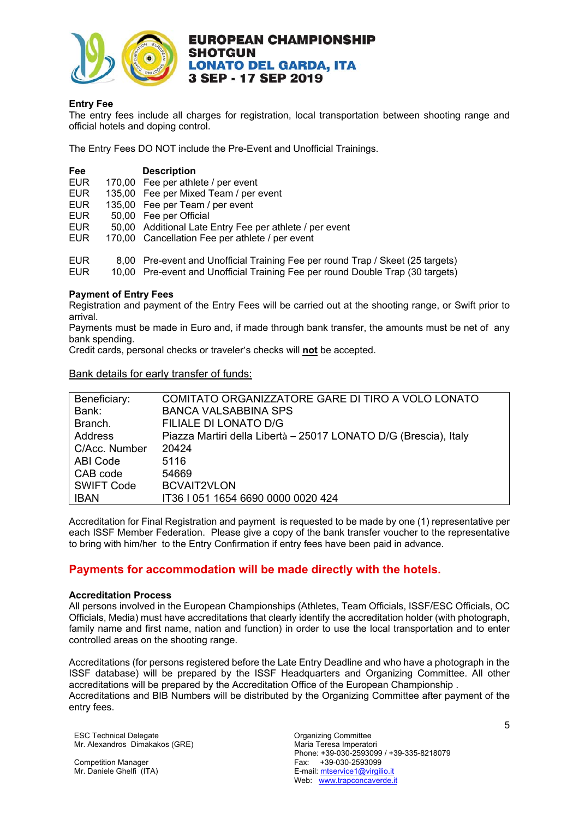

#### **Entry Fee**

The entry fees include all charges for registration, local transportation between shooting range and official hotels and doping control.

The Entry Fees DO NOT include the Pre-Event and Unofficial Trainings.

| Fee        |              | <b>Description</b>                                           |
|------------|--------------|--------------------------------------------------------------|
| <b>EUR</b> |              | 170,00 Fee per athlete / per event                           |
| <b>EUR</b> |              | 135,00 Fee per Mixed Team / per event                        |
| <b>EUR</b> |              | 135,00 Fee per Team / per event                              |
| <b>EUR</b> |              | 50,00 Fee per Official                                       |
| <b>EUR</b> |              | 50,00 Additional Late Entry Fee per athlete / per event      |
| <b>EUR</b> |              | 170,00 Cancellation Fee per athlete / per event              |
| CHD        | <u>o nn </u> | <b>Dro ovent and Unofficial Training Eag per round Trap-</b> |

EUR 8,00 Pre-event and Unofficial Training Fee per round Trap / Skeet (25 targets) 10,00 Pre-event and Unofficial Training Fee per round Double Trap (30 targets)

#### **Payment of Entry Fees**

Registration and payment of the Entry Fees will be carried out at the shooting range, or Swift prior to arrival.

Payments must be made in Euro and, if made through bank transfer, the amounts must be net of any bank spending.

Credit cards, personal checks or traveler's checks will **not** be accepted.

Bank details for early transfer of funds:

| Beneficiary:      | COMITATO ORGANIZZATORE GARE DI TIRO A VOLO LONATO                |
|-------------------|------------------------------------------------------------------|
| Bank:             | <b>BANCA VALSABBINA SPS</b>                                      |
| Branch.           | FILIALE DI LONATO D/G                                            |
| Address           | Piazza Martiri della Libertà - 25017 LONATO D/G (Brescia), Italy |
| C/Acc. Number     | 20424                                                            |
| ABI Code          | 5116                                                             |
| CAB code          | 54669                                                            |
| <b>SWIFT Code</b> | <b>BCVAIT2VLON</b>                                               |
| <b>IBAN</b>       | IT36 I 051 1654 6690 0000 0020 424                               |

Accreditation for Final Registration and payment is requested to be made by one (1) representative per each ISSF Member Federation. Please give a copy of the bank transfer voucher to the representative to bring with him/her to the Entry Confirmation if entry fees have been paid in advance.

### **Payments for accommodation will be made directly with the hotels.**

#### **Accreditation Process**

All persons involved in the European Championships (Athletes, Team Officials, ISSF/ESC Officials, OC Officials, Media) must have accreditations that clearly identify the accreditation holder (with photograph, family name and first name, nation and function) in order to use the local transportation and to enter controlled areas on the shooting range.

Accreditations (for persons registered before the Late Entry Deadline and who have a photograph in the ISSF database) will be prepared by the ISSF Headquarters and Organizing Committee. All other accreditations will be prepared by the Accreditation Office of the European Championship . Accreditations and BIB Numbers will be distributed by the Organizing Committee after payment of the entry fees.

ESC Technical Delegate **Committee** Committee Mr. Alexandros Dimakakos (GRE)

Competition Manager Mr. Daniele Ghelfi (ITA)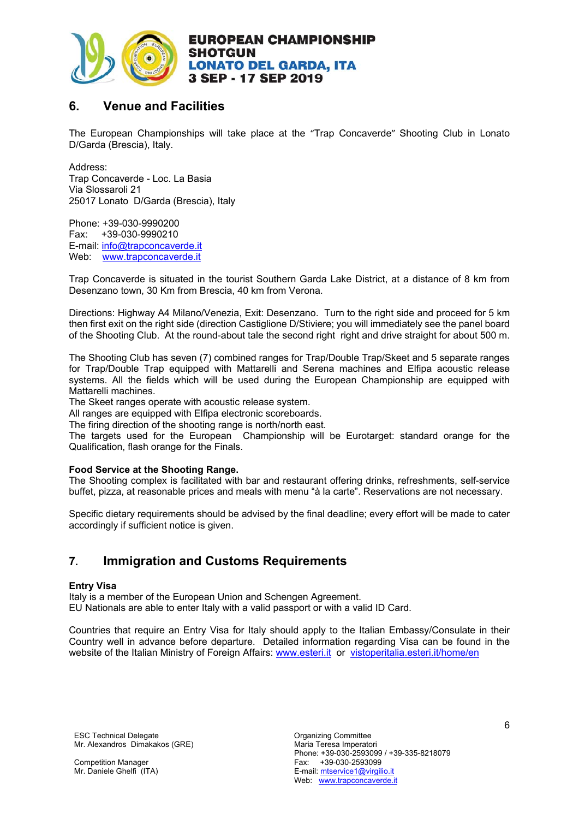

# **6. Venue and Facilities**

The European Championships will take place at the "Trap Concaverde" Shooting Club in Lonato D/Garda (Brescia), Italy.

Address: Trap Concaverde - Loc. La Basia Via Slossaroli 21 25017 Lonato D/Garda (Brescia), Italy

Phone: +39-030-9990200 Fax: +39-030-9990210 E-mail: info@trapconcaverde.it Web: www.trapconcaverde.it

Trap Concaverde is situated in the tourist Southern Garda Lake District, at a distance of 8 km from Desenzano town, 30 Km from Brescia, 40 km from Verona.

Directions: Highway A4 Milano/Venezia, Exit: Desenzano. Turn to the right side and proceed for 5 km then first exit on the right side (direction Castiglione D/Stiviere; you will immediately see the panel board of the Shooting Club. At the round-about tale the second right right and drive straight for about 500 m.

The Shooting Club has seven (7) combined ranges for Trap/Double Trap/Skeet and 5 separate ranges for Trap/Double Trap equipped with Mattarelli and Serena machines and Elfipa acoustic release systems. All the fields which will be used during the European Championship are equipped with Mattarelli machines.

The Skeet ranges operate with acoustic release system.

All ranges are equipped with Elfipa electronic scoreboards.

The firing direction of the shooting range is north/north east.

The targets used for the European Championship will be Eurotarget: standard orange for the Qualification, flash orange for the Finals.

#### **Food Service at the Shooting Range.**

The Shooting complex is facilitated with bar and restaurant offering drinks, refreshments, self-service buffet, pizza, at reasonable prices and meals with menu "à la carte". Reservations are not necessary.

Specific dietary requirements should be advised by the final deadline; every effort will be made to cater accordingly if sufficient notice is given.

# **7. Immigration and Customs Requirements**

#### **Entry Visa**

Italy is a member of the European Union and Schengen Agreement. EU Nationals are able to enter Italy with a valid passport or with a valid ID Card.

Countries that require an Entry Visa for Italy should apply to the Italian Embassy/Consulate in their Country well in advance before departure. Detailed information regarding Visa can be found in the website of the Italian Ministry of Foreign Affairs: www.esteri.it or vistoperitalia.esteri.it/home/en

ESC Technical Delegate **Committee** Committee Mr. Alexandros Dimakakos (GRE)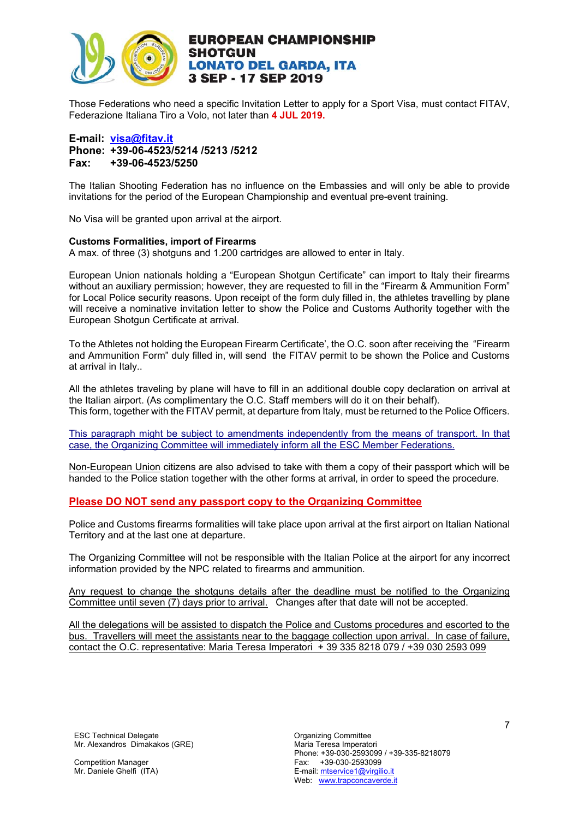

Those Federations who need a specific Invitation Letter to apply for a Sport Visa, must contact FITAV, Federazione Italiana Tiro a Volo, not later than **4 JUL 2019.** 

#### **E-mail: visa@fitav.it Phone: +39-06-4523/5214 /5213 /5212 Fax: +39-06-4523/5250**

The Italian Shooting Federation has no influence on the Embassies and will only be able to provide invitations for the period of the European Championship and eventual pre-event training.

No Visa will be granted upon arrival at the airport.

#### **Customs Formalities, import of Firearms**

A max. of three (3) shotguns and 1.200 cartridges are allowed to enter in Italy.

European Union nationals holding a "European Shotgun Certificate" can import to Italy their firearms without an auxiliary permission; however, they are requested to fill in the "Firearm & Ammunition Form" for Local Police security reasons. Upon receipt of the form duly filled in, the athletes travelling by plane will receive a nominative invitation letter to show the Police and Customs Authority together with the European Shotgun Certificate at arrival.

To the Athletes not holding the European Firearm Certificate', the O.C. soon after receiving the "Firearm and Ammunition Form" duly filled in, will send the FITAV permit to be shown the Police and Customs at arrival in Italy..

All the athletes traveling by plane will have to fill in an additional double copy declaration on arrival at the Italian airport. (As complimentary the O.C. Staff members will do it on their behalf). This form, together with the FITAV permit, at departure from Italy, must be returned to the Police Officers.

This paragraph might be subject to amendments independently from the means of transport. In that case, the Organizing Committee will immediately inform all the ESC Member Federations.

Non-European Union citizens are also advised to take with them a copy of their passport which will be handed to the Police station together with the other forms at arrival, in order to speed the procedure.

#### **Please DO NOT send any passport copy to the Organizing Committee**

Police and Customs firearms formalities will take place upon arrival at the first airport on Italian National Territory and at the last one at departure.

The Organizing Committee will not be responsible with the Italian Police at the airport for any incorrect information provided by the NPC related to firearms and ammunition.

Any request to change the shotguns details after the deadline must be notified to the Organizing Committee until seven (7) days prior to arrival. Changes after that date will not be accepted.

All the delegations will be assisted to dispatch the Police and Customs procedures and escorted to the bus. Travellers will meet the assistants near to the baggage collection upon arrival. In case of failure, contact the O.C. representative: Maria Teresa Imperatori + 39 335 8218 079 / +39 030 2593 099

ESC Technical Delegate **Committee** Committee Mr. Alexandros Dimakakos (GRE)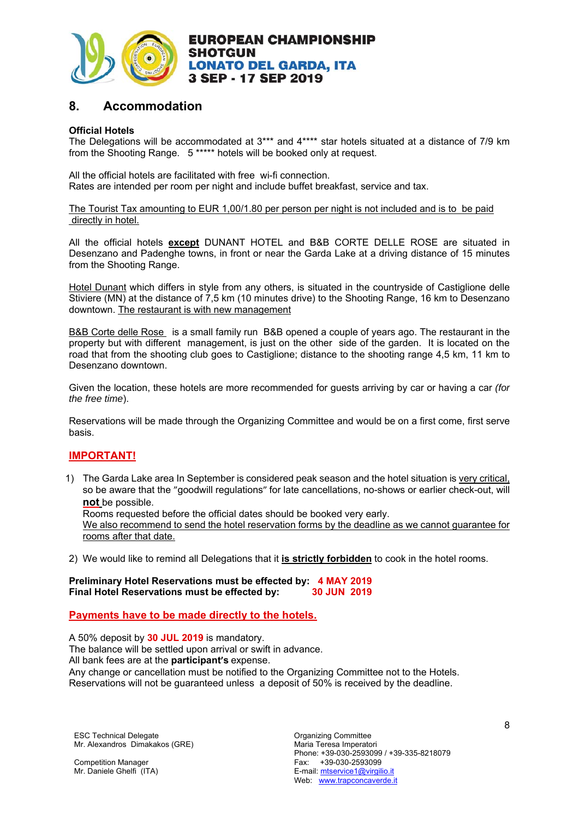

# **8. Accommodation**

#### **Official Hotels**

The Delegations will be accommodated at 3\*\*\* and 4\*\*\*\* star hotels situated at a distance of 7/9 km from the Shooting Range. 5 \*\*\*\*\* hotels will be booked only at request.

All the official hotels are facilitated with free wi-fi connection. Rates are intended per room per night and include buffet breakfast, service and tax.

The Tourist Tax amounting to EUR 1,00/1.80 per person per night is not included and is to be paid directly in hotel.

All the official hotels **except** DUNANT HOTEL and B&B CORTE DELLE ROSE are situated in Desenzano and Padenghe towns, in front or near the Garda Lake at a driving distance of 15 minutes from the Shooting Range.

Hotel Dunant which differs in style from any others, is situated in the countryside of Castiglione delle Stiviere (MN) at the distance of 7,5 km (10 minutes drive) to the Shooting Range, 16 km to Desenzano downtown. The restaurant is with new management

B&B Corte delle Rose is a small family run B&B opened a couple of years ago. The restaurant in the property but with different management, is just on the other side of the garden. It is located on the road that from the shooting club goes to Castiglione; distance to the shooting range 4,5 km, 11 km to Desenzano downtown.

Given the location, these hotels are more recommended for guests arriving by car or having a car *(for the free time*).

Reservations will be made through the Organizing Committee and would be on a first come, first serve basis.

### **IMPORTANT!**

1) The Garda Lake area In September is considered peak season and the hotel situation is very critical, so be aware that the "goodwill regulations" for late cancellations, no-shows or earlier check-out, will **not** be possible.

Rooms requested before the official dates should be booked very early.

We also recommend to send the hotel reservation forms by the deadline as we cannot quarantee for rooms after that date.

2) We would like to remind all Delegations that it **is strictly forbidden** to cook in the hotel rooms.

**Preliminary Hotel Reservations must be effected by: 4 MAY 2019 Final Hotel Reservations must be effected by: 30 JUN 2019**

**Payments have to be made directly to the hotels.** 

A 50% deposit by **30 JUL 2019** is mandatory. The balance will be settled upon arrival or swift in advance. All bank fees are at the **participant's** expense. Any change or cancellation must be notified to the Organizing Committee not to the Hotels. Reservations will not be guaranteed unless a deposit of 50% is received by the deadline.

ESC Technical Delegate **Committee** Committee Mr. Alexandros Dimakakos (GRE)

Competition Manager Mr. Daniele Ghelfi (ITA)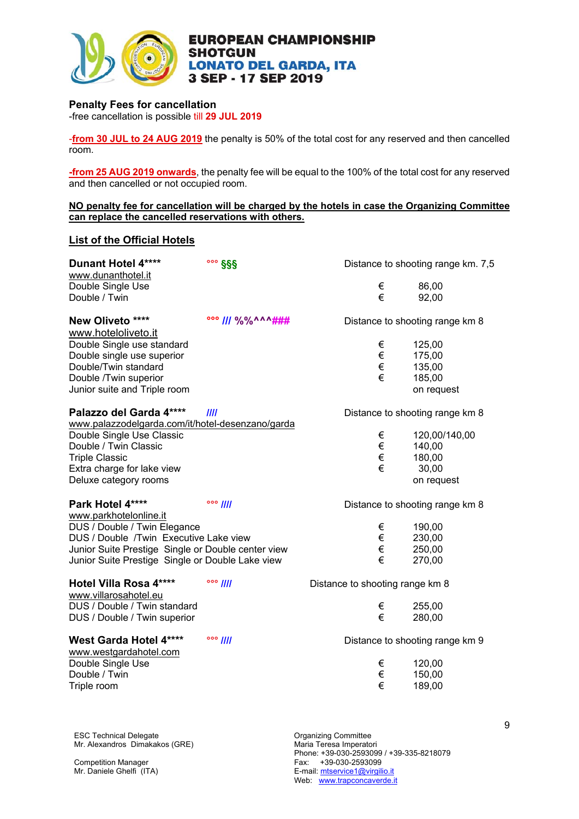

#### **Penalty Fees for cancellation**

-free cancellation is possible till **29 JUL 2019**

-**from 30 JUL to 24 AUG 2019** the penalty is 50% of the total cost for any reserved and then cancelled room.

**-from 25 AUG 2019 onwards**, the penalty fee will be equal to the 100% of the total cost for any reserved and then cancelled or not occupied room.

#### **NO penalty fee for cancellation will be charged by the hotels in case the Organizing Committee can replace the cancelled reservations with others.**

#### **List of the Official Hotels**

| <b>Dunant Hotel 4****</b><br>www.dunanthotel.it                                                                                                                                                            | $\frac{1000}{255}$ |                                 | Distance to shooting range km. 7,5                       |
|------------------------------------------------------------------------------------------------------------------------------------------------------------------------------------------------------------|--------------------|---------------------------------|----------------------------------------------------------|
| Double Single Use<br>Double / Twin                                                                                                                                                                         |                    | €<br>€                          | 86,00<br>92,00                                           |
| New Oliveto ****<br>www.hoteloliveto.it                                                                                                                                                                    | 000     %%^^^###   |                                 | Distance to shooting range km 8                          |
| Double Single use standard<br>Double single use superior<br>Double/Twin standard<br>Double /Twin superior<br>Junior suite and Triple room                                                                  |                    | €<br>€<br>€<br>€                | 125,00<br>175,00<br>135,00<br>185,00<br>on request       |
| Palazzo del Garda 4****                                                                                                                                                                                    | III                |                                 | Distance to shooting range km 8                          |
| www.palazzodelgarda.com/it/hotel-desenzano/garda<br>Double Single Use Classic<br>Double / Twin Classic<br><b>Triple Classic</b><br>Extra charge for lake view<br>Deluxe category rooms                     |                    | €<br>€<br>€<br>€                | 120,00/140,00<br>140,00<br>180,00<br>30,00<br>on request |
| Park Hotel 4****                                                                                                                                                                                           | $\circ \circ$ //// |                                 | Distance to shooting range km 8                          |
| www.parkhotelonline.it<br>DUS / Double / Twin Elegance<br>DUS / Double /Twin Executive Lake view<br>Junior Suite Prestige Single or Double center view<br>Junior Suite Prestige Single or Double Lake view |                    | €<br>€<br>€<br>€                | 190,00<br>230,00<br>250,00<br>270,00                     |
| Hotel Villa Rosa 4****<br>www.villarosahotel.eu                                                                                                                                                            | $\frac{1}{2}$      | Distance to shooting range km 8 |                                                          |
| DUS / Double / Twin standard<br>DUS / Double / Twin superior                                                                                                                                               |                    | €<br>€                          | 255,00<br>280,00                                         |
| West Garda Hotel 4****<br>www.westgardahotel.com                                                                                                                                                           | $\frac{1}{2}$      |                                 | Distance to shooting range km 9                          |
| Double Single Use<br>Double / Twin<br>Triple room                                                                                                                                                          |                    | €<br>€<br>€                     | 120,00<br>150,00<br>189,00                               |

ESC Technical Delegate **Committee** Committee Mr. Alexandros Dimakakos (GRE)

Competition Manager Mr. Daniele Ghelfi (ITA)

Maria Teresa Imperatori Phone: +39-030-2593099 / +39-335-8218079 Fax: +39-030-2593099 E-mail: mtservice1@virgilio.it Web: www.trapconcaverde.it

9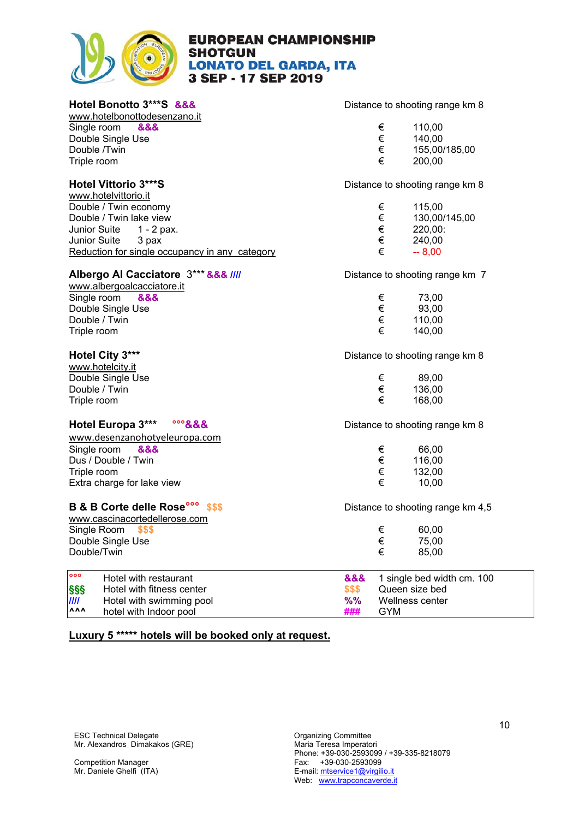

www.hotelbonottodesenzano.it

Single room &&& Double Single Use Double /Twin Triple room

www.hotelvittorio.it Double / Twin economy  $\epsilon$  115,00 Double / Twin lake view  $\epsilon$  130,00/145,00 Junior Suite  $1 - 2$  pax.  $\epsilon$  220,00: Junior Suite 3 pax  $\epsilon$  240,00<br>Reduction for single occupancy in any category  $\epsilon$  240,00 Reduction for single occupancy in any category  $\epsilon$ 

#### **Albergo Al Cacciatore**  $3***$  **&&& ////** Distance to shooting range km 7

www.albergoalcacciatore.it Single room &&& Double Single Use Double / Twin Triple room

www.hotelcity.it Double Single Use Double / Twin Triple room

# **Hotel Europa 3\*\*\* °°°&&&** Distance to shooting range km 8

www.desenzanohotyeleuropa.com Single room &&& Dus / Double / Twin Triple room Extra charge for lake view

### **B & B Corte delle Rose<sup>ooo</sup>** \$\$\$ **Distance to shooting range km 4,5**

www.cascinacortedellerose.com Single Room \$\$\$ Double Single Use Double/Twin

**Poo°** Hotel with restaurant **§§§** Hotel with fitness center **////** Hotel with swimming pool **%%** Wellness center  $h$ otel with Indoor pool

**Hotel Bonotto 3\*\*\*S &&&** Distance to shooting range km 8

| € | 110,00        |
|---|---------------|
| € | 140,00        |
| € | 155.00/185.00 |
| € | 200,00        |

**Hotel Vittorio 3\*\*\*S** Distance to shooting range km 8

| € | 73.00  |
|---|--------|
| € | 93.00  |
| € | 110.00 |
| € | 140,00 |

**Hotel City 3\*\*\* Constant Constant City 3\*\*\* Distance to shooting range km 8** 

| € | 89,00  |
|---|--------|
| € | 136,00 |
| € | 168,00 |

| 66.00  |
|--------|
| 116,00 |
| 132.00 |
| 10.00  |
|        |

| € | 60.00 |
|---|-------|
| € | 75,00 |
| € | 85,00 |
|   |       |

| \$\$\$ | <b>&amp;&amp;&amp;</b> 1 single bed width cm. 100<br>Queen size bed |
|--------|---------------------------------------------------------------------|
|        | %% Wellness center                                                  |
| ###    | GYM                                                                 |

### **Luxury 5 \*\*\*\*\* hotels will be booked only at request.**

ESC Technical Delegate **Committee** Committee Mr. Alexandros Dimakakos (GRE)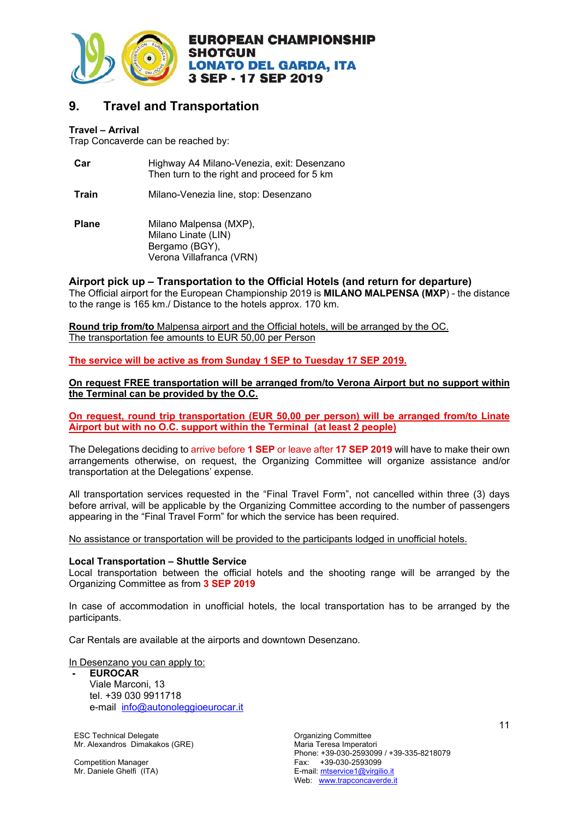

# **9. Travel and Transportation**

#### **Travel – Arrival**

Trap Concaverde can be reached by:

| Car          | Highway A4 Milano-Venezia, exit: Desenzano<br>Then turn to the right and proceed for 5 km   |
|--------------|---------------------------------------------------------------------------------------------|
| Train        | Milano-Venezia line, stop: Desenzano                                                        |
| <b>Plane</b> | Milano Malpensa (MXP),<br>Milano Linate (LIN)<br>Bergamo (BGY),<br>Verona Villafranca (VRN) |

### **Airport pick up – Transportation to the Official Hotels (and return for departure)**

The Official airport for the European Championship 2019 is **MILANO MALPENSA (MXP**) - the distance to the range is 165 km./ Distance to the hotels approx. 170 km.

**Round trip from/to** Malpensa airport and the Official hotels, will be arranged by the OC. The transportation fee amounts to EUR 50,00 per Person

**The service will be active as from Sunday 1 SEP to Tuesday 17 SEP 2019.** 

**On request FREE transportation will be arranged from/to Verona Airport but no support within the Terminal can be provided by the O.C.** 

**On request, round trip transportation (EUR 50,00 per person) will be arranged from/to Linate Airport but with no O.C. support within the Terminal (at least 2 people)** 

The Delegations deciding to arrive before **1 SEP** or leave after **17 SEP 2019** will have to make their own arrangements otherwise, on request, the Organizing Committee will organize assistance and/or transportation at the Delegations' expense.

All transportation services requested in the "Final Travel Form", not cancelled within three (3) days before arrival, will be applicable by the Organizing Committee according to the number of passengers appearing in the "Final Travel Form" for which the service has been required.

No assistance or transportation will be provided to the participants lodged in unofficial hotels.

#### **Local Transportation – Shuttle Service**

Local transportation between the official hotels and the shooting range will be arranged by the Organizing Committee as from **3 SEP 2019**

In case of accommodation in unofficial hotels, the local transportation has to be arranged by the participants.

Car Rentals are available at the airports and downtown Desenzano.

In Desenzano you can apply to:

#### **- EUROCAR**  Viale Marconi, 13 tel. +39 030 9911718 e-mail info@autonoleggioeurocar.it

ESC Technical Delegate **Committee** Committee Mr. Alexandros Dimakakos (GRE)

Competition Manager Mr. Daniele Ghelfi (ITA)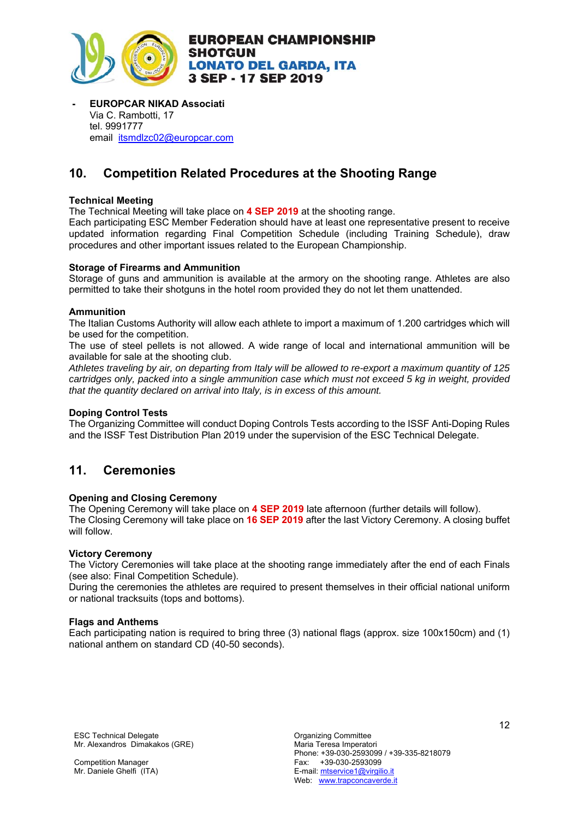

**- EUROPCAR NIKAD Associati** Via C. Rambotti, 17 tel. 9991777 email itsmdlzc02@europcar.com

# **10. Competition Related Procedures at the Shooting Range**

#### **Technical Meeting**

The Technical Meeting will take place on **4 SEP 2019** at the shooting range.

Each participating ESC Member Federation should have at least one representative present to receive updated information regarding Final Competition Schedule (including Training Schedule), draw procedures and other important issues related to the European Championship.

#### **Storage of Firearms and Ammunition**

Storage of guns and ammunition is available at the armory on the shooting range. Athletes are also permitted to take their shotguns in the hotel room provided they do not let them unattended.

#### **Ammunition**

The Italian Customs Authority will allow each athlete to import a maximum of 1.200 cartridges which will be used for the competition.

The use of steel pellets is not allowed. A wide range of local and international ammunition will be available for sale at the shooting club.

*Athletes traveling by air, on departing from Italy will be allowed to re-export a maximum quantity of 125 cartridges only, packed into a single ammunition case which must not exceed 5 kg in weight, provided that the quantity declared on arrival into Italy, is in excess of this amount.* 

#### **Doping Control Tests**

The Organizing Committee will conduct Doping Controls Tests according to the ISSF Anti-Doping Rules and the ISSF Test Distribution Plan 2019 under the supervision of the ESC Technical Delegate.

# **11. Ceremonies**

#### **Opening and Closing Ceremony**

The Opening Ceremony will take place on **4 SEP 2019** late afternoon (further details will follow). The Closing Ceremony will take place on **16 SEP 2019** after the last Victory Ceremony. A closing buffet will follow.

#### **Victory Ceremony**

The Victory Ceremonies will take place at the shooting range immediately after the end of each Finals (see also: Final Competition Schedule).

During the ceremonies the athletes are required to present themselves in their official national uniform or national tracksuits (tops and bottoms).

#### **Flags and Anthems**

Each participating nation is required to bring three (3) national flags (approx. size 100x150cm) and (1) national anthem on standard CD (40-50 seconds).

ESC Technical Delegate **Committee** Committee Mr. Alexandros Dimakakos (GRE)

Competition Manager Mr. Daniele Ghelfi (ITA)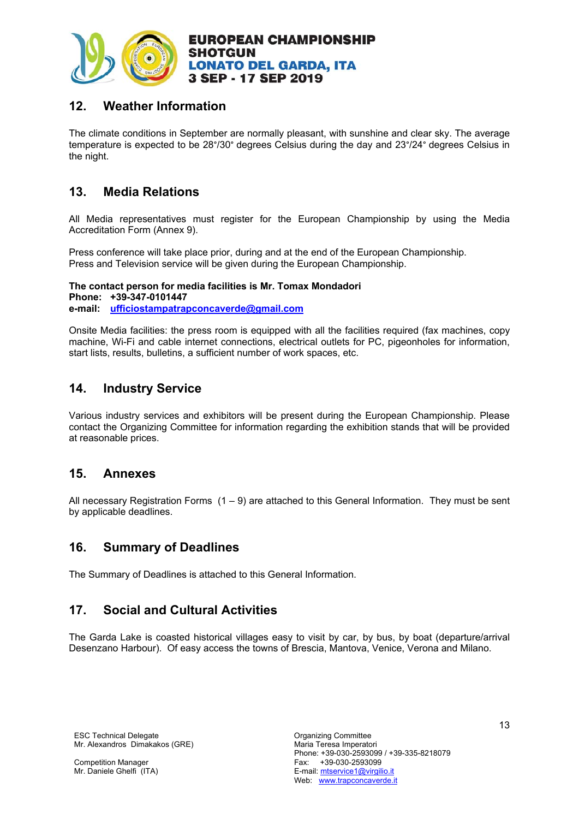

# **12. Weather Information**

The climate conditions in September are normally pleasant, with sunshine and clear sky. The average temperature is expected to be 28°/30° degrees Celsius during the day and 23°/24° degrees Celsius in the night.

# **13. Media Relations**

All Media representatives must register for the European Championship by using the Media Accreditation Form (Annex 9).

Press conference will take place prior, during and at the end of the European Championship. Press and Television service will be given during the European Championship.

**The contact person for media facilities is Mr. Tomax Mondadori Phone: +39-347-0101447 e-mail: ufficiostampatrapconcaverde@gmail.com**

Onsite Media facilities: the press room is equipped with all the facilities required (fax machines, copy machine, Wi-Fi and cable internet connections, electrical outlets for PC, pigeonholes for information, start lists, results, bulletins, a sufficient number of work spaces, etc.

# **14. Industry Service**

Various industry services and exhibitors will be present during the European Championship. Please contact the Organizing Committee for information regarding the exhibition stands that will be provided at reasonable prices.

# **15. Annexes**

All necessary Registration Forms  $(1 - 9)$  are attached to this General Information. They must be sent by applicable deadlines.

# **16. Summary of Deadlines**

The Summary of Deadlines is attached to this General Information.

# **17. Social and Cultural Activities**

The Garda Lake is coasted historical villages easy to visit by car, by bus, by boat (departure/arrival Desenzano Harbour). Of easy access the towns of Brescia, Mantova, Venice, Verona and Milano.